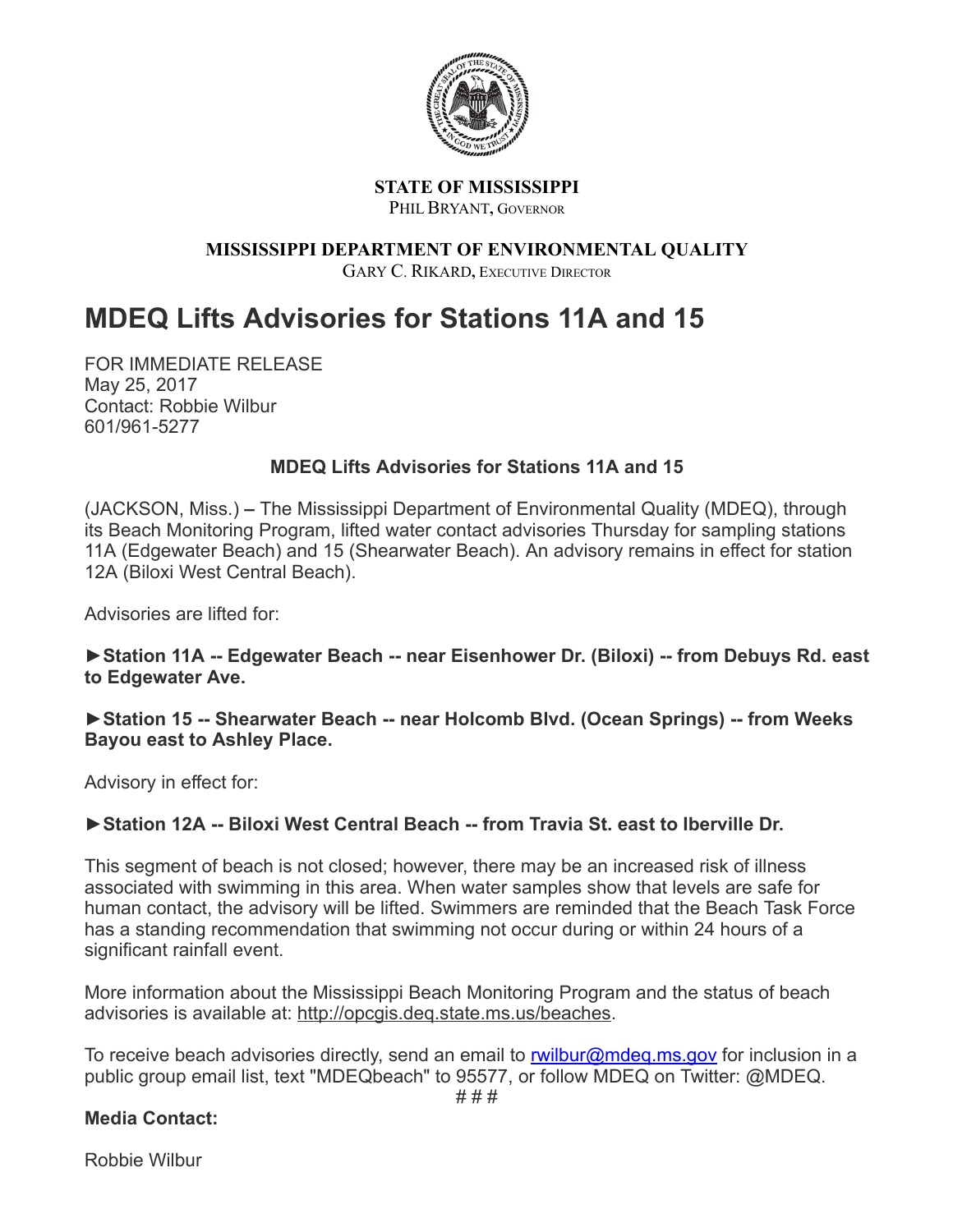

#### **STATE OF MISSISSIPPI** PHILBRYANT**,** GOVERNOR

# **MISSISSIPPI DEPARTMENT OF ENVIRONMENTAL QUALITY**

GARY C. RIKARD**,** EXECUTIVE DIRECTOR

# **MDEQ Lifts Advisories for Stations 11A and 15**

FOR IMMEDIATE RELEASE May 25, 2017 Contact: Robbie Wilbur 601/961-5277

# **MDEQ Lifts Advisories for Stations 11A and 15**

(JACKSON, Miss.) **–** The Mississippi Department of Environmental Quality (MDEQ), through its Beach Monitoring Program, lifted water contact advisories Thursday for sampling stations 11A (Edgewater Beach) and 15 (Shearwater Beach). An advisory remains in effect for station 12A (Biloxi West Central Beach).

Advisories are lifted for:

► Station 11A -- Edgewater Beach -- near Eisenhower Dr. (Biloxi) -- from Debuys Rd. east **to Edgewater Ave.**

▶Station 15 -- Shearwater Beach -- near Holcomb Blvd. (Ocean Springs) -- from Weeks **Bayou east to Ashley Place.**

Advisory in effect for:

## ► Station 12A -- Biloxi West Central Beach -- from Travia St. east to Iberville Dr.

This segment of beach is not closed; however, there may be an increased risk of illness associated with swimming in this area. When water samples show that levels are safe for human contact, the advisory will be lifted. Swimmers are reminded that the Beach Task Force has a standing recommendation that swimming not occur during or within 24 hours of a significant rainfall event.

More information about the Mississippi Beach Monitoring Program and the status of beach advisories is available at: [http://opcgis.deq.state.ms.us/beaches.](http://r20.rs6.net/tn.jsp?f=001sfyH39Cz9jG5BO42ei6kqX5MZYtzr34hiLtzurySTvSjVrBrpZs5aIDsm8Ka5pVW9uJQonrmss2Z8FaFNHBKqIkaR_-4Bwvah8Io8mnYsM5JSH9ZN7HYQP7e3Zt-aQ58Ijx6r4W5rBPlTwKROSRLkdShDvi46H3t&c=g6Et_i9E0WciD_pKhFS8oeRCiex8OCEuZFDt3aLuS-4M8_HLIzqUDQ==&ch=x1MySGsijfk6Gu9ZcovSnlLQVc6m541uBgblHFjEukPsaR8ccHacVw==)

To receive beach advisories directly, send an email to [rwilbur@mdeq.ms.gov](mailto:rwilbur@mdeq.ms.gov) for inclusion in a public group email list, text "MDEQbeach" to 95577, or follow MDEQ on Twitter: @MDEQ. # # #

## **Media Contact:**

Robbie Wilbur